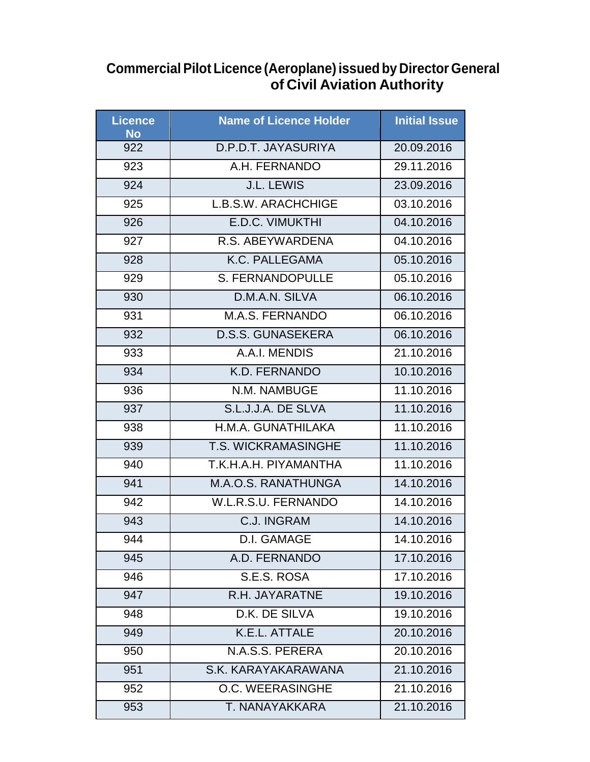## **Commercial Pilot Licence (Aeroplane) issued by Director General of Civil Aviation Authority**

| <b>Licence</b><br><b>No</b> | <b>Name of Licence Holder</b> | <b>Initial Issue</b> |
|-----------------------------|-------------------------------|----------------------|
| 922                         | D.P.D.T. JAYASURIYA           | 20.09.2016           |
| 923                         | A.H. FERNANDO                 | 29.11.2016           |
| 924                         | J.L. LEWIS                    | 23.09.2016           |
| 925                         | L.B.S.W. ARACHCHIGE           | 03.10.2016           |
| 926                         | E.D.C. VIMUKTHI               | 04.10.2016           |
| 927                         | R.S. ABEYWARDENA              | 04.10.2016           |
| 928                         | K.C. PALLEGAMA                | 05.10.2016           |
| 929                         | <b>S. FERNANDOPULLE</b>       | 05.10.2016           |
| 930                         | D.M.A.N. SILVA                | 06.10.2016           |
| 931                         | M.A.S. FERNANDO               | 06.10.2016           |
| 932                         | <b>D.S.S. GUNASEKERA</b>      | 06.10.2016           |
| 933                         | A.A.I. MENDIS                 | 21.10.2016           |
| 934                         | K.D. FERNANDO                 | 10.10.2016           |
| 936                         | N.M. NAMBUGE                  | 11.10.2016           |
| 937                         | S.L.J.J.A. DE SLVA            | 11.10.2016           |
| 938                         | H.M.A. GUNATHILAKA            | 11.10.2016           |
| 939                         | <b>T.S. WICKRAMASINGHE</b>    | 11.10.2016           |
| 940                         | T.K.H.A.H. PIYAMANTHA         | 11.10.2016           |
| 941                         | M.A.O.S. RANATHUNGA           | 14.10.2016           |
| 942                         | W.L.R.S.U. FERNANDO           | 14.10.2016           |
| 943                         | <b>C.J. INGRAM</b>            | 14.10.2016           |
| 944                         | <b>D.I. GAMAGE</b>            | 14.10.2016           |
| 945                         | A.D. FERNANDO                 | 17.10.2016           |
| 946                         | S.E.S. ROSA                   | 17.10.2016           |
| 947                         | R.H. JAYARATNE                | 19.10.2016           |
| 948                         | D.K. DE SILVA                 | 19.10.2016           |
| 949                         | K.E.L. ATTALE                 | 20.10.2016           |
| 950                         | N.A.S.S. PERERA               | 20.10.2016           |
| 951                         | S.K. KARAYAKARAWANA           | 21.10.2016           |
| 952                         | O.C. WEERASINGHE              | 21.10.2016           |
| 953                         | T. NANAYAKKARA                | 21.10.2016           |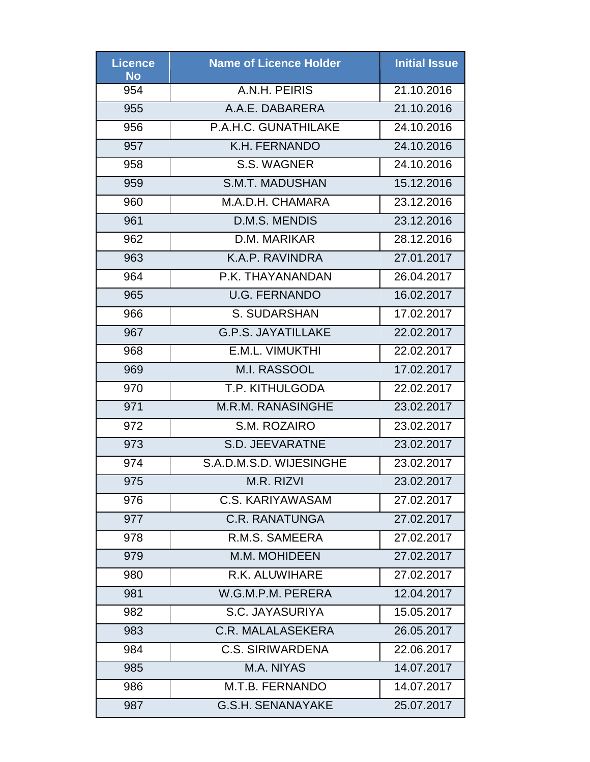| Licence<br><b>No</b> | <b>Name of Licence Holder</b> | <b>Initial Issue</b> |
|----------------------|-------------------------------|----------------------|
| 954                  | A.N.H. PEIRIS                 | 21.10.2016           |
| 955                  | A.A.E. DABARERA               | 21.10.2016           |
| 956                  | P.A.H.C. GUNATHILAKE          | 24.10.2016           |
| 957                  | K.H. FERNANDO                 | 24.10.2016           |
| 958                  | S.S. WAGNER                   | 24.10.2016           |
| 959                  | <b>S.M.T. MADUSHAN</b>        | 15.12.2016           |
| 960                  | M.A.D.H. CHAMARA              | 23.12.2016           |
| 961                  | D.M.S. MENDIS                 | 23.12.2016           |
| 962                  | D.M. MARIKAR                  | 28.12.2016           |
| 963                  | K.A.P. RAVINDRA               | 27.01.2017           |
| 964                  | P.K. THAYANANDAN              | 26.04.2017           |
| 965                  | <b>U.G. FERNANDO</b>          | 16.02.2017           |
| 966                  | S. SUDARSHAN                  | 17.02.2017           |
| 967                  | <b>G.P.S. JAYATILLAKE</b>     | 22.02.2017           |
| 968                  | E.M.L. VIMUKTHI               | 22.02.2017           |
| 969                  | <b>M.I. RASSOOL</b>           | 17.02.2017           |
| 970                  | T.P. KITHULGODA               | 22.02.2017           |
| 971                  | <b>M.R.M. RANASINGHE</b>      | 23.02.2017           |
| 972                  | S.M. ROZAIRO                  | 23.02.2017           |
| 973                  | <b>S.D. JEEVARATNE</b>        | 23.02.2017           |
| 974                  | S.A.D.M.S.D. WIJESINGHE       | 23.02.2017           |
| 975                  | M.R. RIZVI                    | 23.02.2017           |
| 976                  | C.S. KARIYAWASAM              | 27.02.2017           |
| 977                  | <b>C.R. RANATUNGA</b>         | 27.02.2017           |
| 978                  | R.M.S. SAMEERA                | 27.02.2017           |
| 979                  | M.M. MOHIDEEN                 | 27.02.2017           |
| 980                  | R.K. ALUWIHARE                | 27.02.2017           |
| 981                  | W.G.M.P.M. PERERA             | 12.04.2017           |
| 982                  | S.C. JAYASURIYA               | 15.05.2017           |
| 983                  | <b>C.R. MALALASEKERA</b>      | 26.05.2017           |
| 984                  | <b>C.S. SIRIWARDENA</b>       | 22.06.2017           |
| 985                  | M.A. NIYAS                    | 14.07.2017           |
| 986                  | M.T.B. FERNANDO               | 14.07.2017           |
| 987                  | <b>G.S.H. SENANAYAKE</b>      | 25.07.2017           |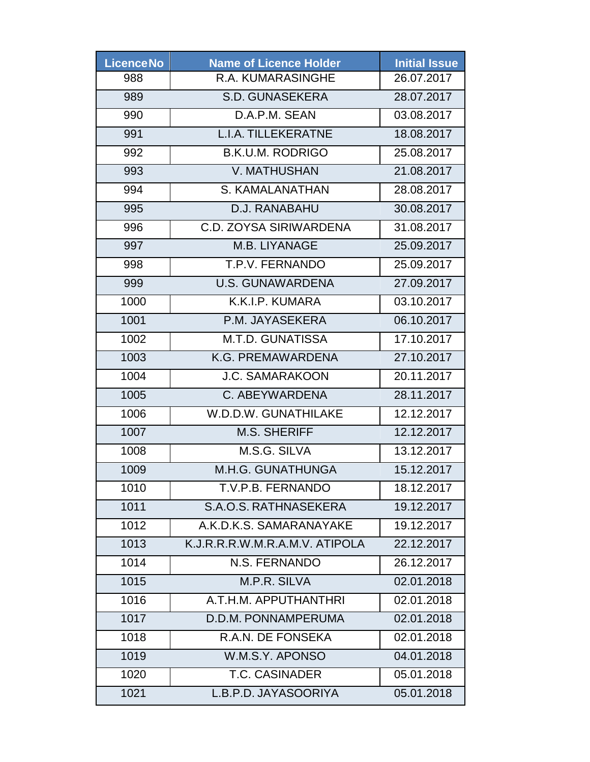| <b>Licence No</b> | <b>Name of Licence Holder</b>  | <b>Initial Issue</b> |
|-------------------|--------------------------------|----------------------|
| 988               | R.A. KUMARASINGHE              | 26.07.2017           |
| 989               | <b>S.D. GUNASEKERA</b>         | 28.07.2017           |
| 990               | D.A.P.M. SEAN                  | 03.08.2017           |
| 991               | <b>L.I.A. TILLEKERATNE</b>     | 18.08.2017           |
| 992               | <b>B.K.U.M. RODRIGO</b>        | 25.08.2017           |
| 993               | <b>V. MATHUSHAN</b>            | 21.08.2017           |
| 994               | S. KAMALANATHAN                | 28.08.2017           |
| 995               | D.J. RANABAHU                  | 30.08.2017           |
| 996               | C.D. ZOYSA SIRIWARDENA         | 31.08.2017           |
| 997               | M.B. LIYANAGE                  | 25.09.2017           |
| 998               | T.P.V. FERNANDO                | 25.09.2017           |
| 999               | <b>U.S. GUNAWARDENA</b>        | 27.09.2017           |
| 1000              | K.K.I.P. KUMARA                | 03.10.2017           |
| 1001              | P.M. JAYASEKERA                | 06.10.2017           |
| 1002              | <b>M.T.D. GUNATISSA</b>        | 17.10.2017           |
| 1003              | K.G. PREMAWARDENA              | 27.10.2017           |
| 1004              | <b>J.C. SAMARAKOON</b>         | 20.11.2017           |
| 1005              | C. ABEYWARDENA                 | 28.11.2017           |
| 1006              | W.D.D.W. GUNATHILAKE           | 12.12.2017           |
| 1007              | <b>M.S. SHERIFF</b>            | 12.12.2017           |
| 1008              | M.S.G. SILVA                   | 13.12.2017           |
| 1009              | M.H.G. GUNATHUNGA              | 15.12.2017           |
| 1010              | T.V.P.B. FERNANDO              | 18.12.2017           |
| 1011              | S.A.O.S. RATHNASEKERA          | 19.12.2017           |
| 1012              | A.K.D.K.S. SAMARANAYAKE        | 19.12.2017           |
| 1013              | K.J.R.R.R.W.M.R.A.M.V. ATIPOLA | 22.12.2017           |
| 1014              | N.S. FERNANDO                  | 26.12.2017           |
| 1015              | M.P.R. SILVA                   | 02.01.2018           |
| 1016              | A.T.H.M. APPUTHANTHRI          | 02.01.2018           |
| 1017              | D.D.M. PONNAMPERUMA            | 02.01.2018           |
| 1018              | R.A.N. DE FONSEKA              | 02.01.2018           |
| 1019              | W.M.S.Y. APONSO                | 04.01.2018           |
| 1020              | <b>T.C. CASINADER</b>          | 05.01.2018           |
| 1021              | L.B.P.D. JAYASOORIYA           | 05.01.2018           |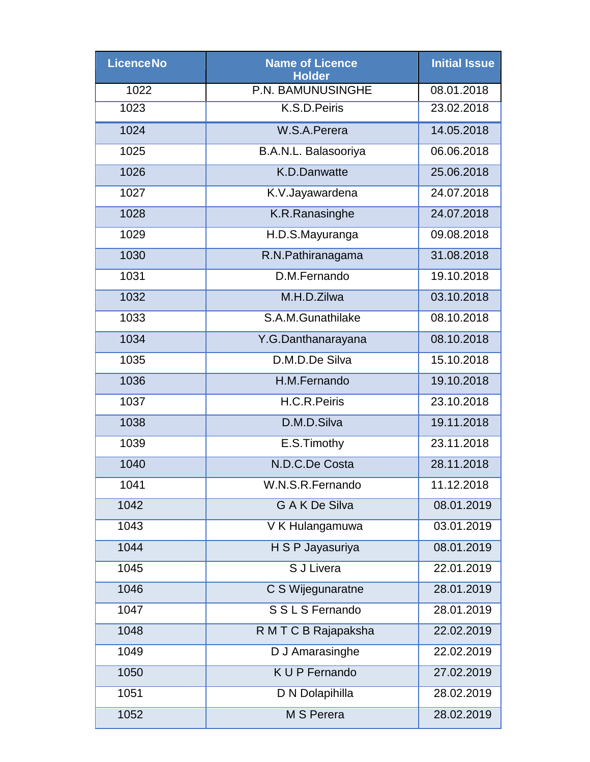| <b>Licence No</b> | <b>Name of Licence</b><br><b>Holder</b> | <b>Initial Issue</b> |
|-------------------|-----------------------------------------|----------------------|
| 1022              | P.N. BAMUNUSINGHE                       | 08.01.2018           |
| 1023              | K.S.D.Peiris                            | 23.02.2018           |
| 1024              | W.S.A.Perera                            | 14.05.2018           |
| 1025              | B.A.N.L. Balasooriya                    | 06.06.2018           |
| 1026              | K.D.Danwatte                            | 25.06.2018           |
| 1027              | K.V.Jayawardena                         | 24.07.2018           |
| 1028              | K.R.Ranasinghe                          | 24.07.2018           |
| 1029              | H.D.S.Mayuranga                         | 09.08.2018           |
| 1030              | R.N.Pathiranagama                       | 31.08.2018           |
| 1031              | D.M.Fernando                            | 19.10.2018           |
| 1032              | M.H.D.Zilwa                             | 03.10.2018           |
| 1033              | S.A.M.Gunathilake                       | 08.10.2018           |
| 1034              | Y.G.Danthanarayana                      | 08.10.2018           |
| 1035              | D.M.D.De Silva                          | 15.10.2018           |
| 1036              | H.M.Fernando                            | 19.10.2018           |
| 1037              | H.C.R.Peiris                            | 23.10.2018           |
| 1038              | D.M.D.Silva                             | 19.11.2018           |
| 1039              | E.S.Timothy                             | 23.11.2018           |
| 1040              | N.D.C.De Costa                          | 28.11.2018           |
| 1041              | W.N.S.R.Fernando                        | 11.12.2018           |
| 1042              | <b>GAKDe Silva</b>                      | 08.01.2019           |
| 1043              | V K Hulangamuwa                         | 03.01.2019           |
| 1044              | H S P Jayasuriya                        | 08.01.2019           |
| 1045              | S J Livera                              | 22.01.2019           |
| 1046              | C S Wijegunaratne                       | 28.01.2019           |
| 1047              | S S L S Fernando                        | 28.01.2019           |
| 1048              | R M T C B Rajapaksha                    | 22.02.2019           |
| 1049              | D J Amarasinghe                         | 22.02.2019           |
| 1050              | K U P Fernando                          | 27.02.2019           |
| 1051              | D N Dolapihilla                         | 28.02.2019           |
| 1052              | M S Perera                              | 28.02.2019           |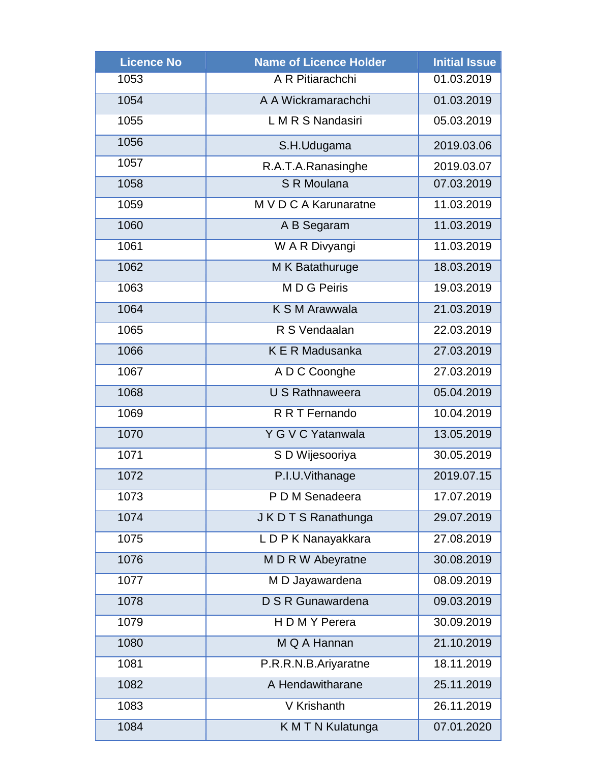| <b>Licence No</b> | <b>Name of Licence Holder</b> | <b>Initial Issue</b> |
|-------------------|-------------------------------|----------------------|
| 1053              | A R Pitiarachchi              | 01.03.2019           |
| 1054              | A A Wickramarachchi           | 01.03.2019           |
| 1055              | L M R S Nandasiri             | 05.03.2019           |
| 1056              | S.H.Udugama                   | 2019.03.06           |
| 1057              | R.A.T.A.Ranasinghe            | 2019.03.07           |
| 1058              | S R Moulana                   | 07.03.2019           |
| 1059              | M V D C A Karunaratne         | 11.03.2019           |
| 1060              | A B Segaram                   | 11.03.2019           |
| 1061              | W A R Divyangi                | 11.03.2019           |
| 1062              | M K Batathuruge               | 18.03.2019           |
| 1063              | M D G Peiris                  | 19.03.2019           |
| 1064              | K S M Arawwala                | 21.03.2019           |
| 1065              | R S Vendaalan                 | 22.03.2019           |
| 1066              | K E R Madusanka               | 27.03.2019           |
| 1067              | A D C Coonghe                 | 27.03.2019           |
| 1068              | <b>U S Rathnaweera</b>        | 05.04.2019           |
| 1069              | R R T Fernando                | 10.04.2019           |
| 1070              | Y G V C Yatanwala             | 13.05.2019           |
| 1071              | S D Wijesooriya               | 30.05.2019           |
| 1072              | P.I.U.Vithanage               | 2019.07.15           |
| 1073              | P D M Senadeera               | 17.07.2019           |
| 1074              | J K D T S Ranathunga          | 29.07.2019           |
| 1075              | L D P K Nanayakkara           | 27.08.2019           |
| 1076              | M D R W Abeyratne             | 30.08.2019           |
| 1077              | M D Jayawardena               | 08.09.2019           |
| 1078              | D S R Gunawardena             | 09.03.2019           |
| 1079              | H D M Y Perera                | 30.09.2019           |
| 1080              | M Q A Hannan                  | 21.10.2019           |
| 1081              | P.R.R.N.B.Ariyaratne          | 18.11.2019           |
| 1082              | A Hendawitharane              | 25.11.2019           |
| 1083              | V Krishanth                   | 26.11.2019           |
| 1084              | K M T N Kulatunga             | 07.01.2020           |